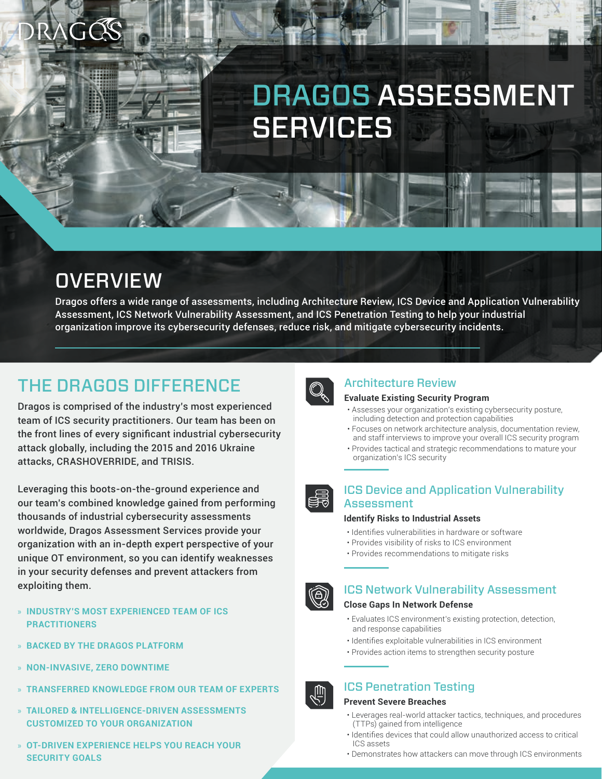## DRAGOS ASSESSMENT **SERVICES**

### **OVERVIEW**

Dragos offers a wide range of assessments, including Architecture Review, ICS Device and Application Vulnerability Assessment, ICS Network Vulnerability Assessment, and ICS Penetration Testing to help your industrial organization improve its cybersecurity defenses, reduce risk, and mitigate cybersecurity incidents.

### THE DRAGOS DIFFERENCE

Dragos is comprised of the industry's most experienced team of ICS security practitioners. Our team has been on the front lines of every significant industrial cybersecurity attack globally, including the 2015 and 2016 Ukraine attacks, CRASHOVERRIDE, and TRISIS.

Leveraging this boots-on-the-ground experience and our team's combined knowledge gained from performing thousands of industrial cybersecurity assessments worldwide, Dragos Assessment Services provide your organization with an in-depth expert perspective of your unique OT environment, so you can identify weaknesses in your security defenses and prevent attackers from exploiting them.

- » **INDUSTRY'S MOST EXPERIENCED TEAM OF ICS PRACTITIONERS**
- » **BACKED BY THE DRAGOS PLATFORM**
- » **NON-INVASIVE, ZERO DOWNTIME**
- » **TRANSFERRED KNOWLEDGE FROM OUR TEAM OF EXPERTS**
- » **TAILORED & INTELLIGENCE-DRIVEN ASSESSMENTS CUSTOMIZED TO YOUR ORGANIZATION**
- » **OT-DRIVEN EXPERIENCE HELPS YOU REACH YOUR SECURITY GOALS**



### Architecture Review

### **Evaluate Existing Security Program**

- Assesses your organization's existing cybersecurity posture, including detection and protection capabilities
- Focuses on network architecture analysis, documentation review, and staff interviews to improve your overall ICS security program
- Provides tactical and strategic recommendations to mature your organization's ICS security



### **Identify Risks to Industrial Assets**

- Identifies vulnerabilities in hardware or software
- Provides visibility of risks to ICS environment
- Provides recommendations to mitigate risks

## $\circledS$

### ICS Network Vulnerability Assessment

### **Close Gaps In Network Defense**

- Evaluates ICS environment's existing protection, detection, and response capabilities
- Identifies exploitable vulnerabilities in ICS environment
- Provides action items to strengthen security posture

### ICS Penetration Testing

#### **Prevent Severe Breaches**

- Leverages real-world attacker tactics, techniques, and procedures (TTPs) gained from intelligence
- Identifies devices that could allow unauthorized access to critical ICS assets
- Demonstrates how attackers can move through ICS environments